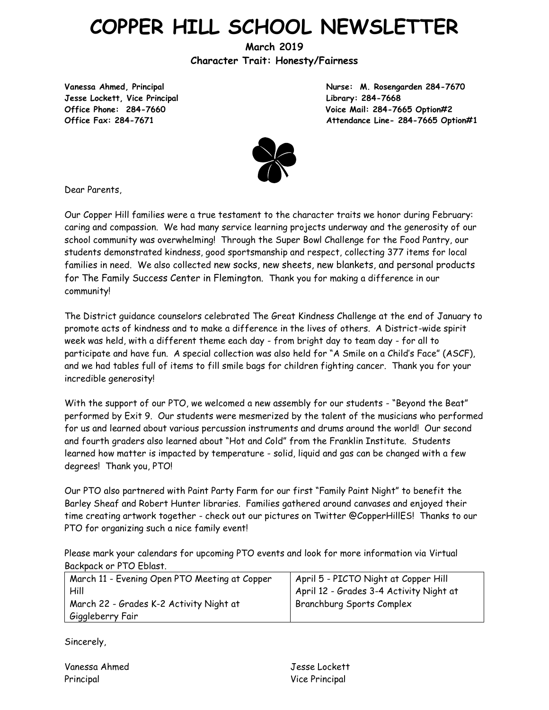# **COPPER HILL SCHOOL NEWSLETTER**

**March 2019 Character Trait: Honesty/Fairness**

**Jesse Lockett, Vice Principal Library: 284-7668**

**Vanessa Ahmed, Principal Nurse: M. Rosengarden 284-7670 Office Phone: 284-7660 Voice Mail: 284-7665 Option#2 Office Fax: 284-7671 Attendance Line- 284-7665 Option#1**



Dear Parents,

Our Copper Hill families were a true testament to the character traits we honor during February: caring and compassion. We had many service learning projects underway and the generosity of our school community was overwhelming! Through the Super Bowl Challenge for the Food Pantry, our students demonstrated kindness, good sportsmanship and respect, collecting 377 items for local families in need. We also collected new socks, new sheets, new blankets, and personal products for The Family Success Center in Flemington. Thank you for making a difference in our community!

The District guidance counselors celebrated The Great Kindness Challenge at the end of January to promote acts of kindness and to make a difference in the lives of others. A District-wide spirit week was held, with a different theme each day - from bright day to team day - for all to participate and have fun. A special collection was also held for "A Smile on a Child's Face" (ASCF), and we had tables full of items to fill smile bags for children fighting cancer. Thank you for your incredible generosity!

With the support of our PTO, we welcomed a new assembly for our students - "Beyond the Beat" performed by Exit 9. Our students were mesmerized by the talent of the musicians who performed for us and learned about various percussion instruments and drums around the world! Our second and fourth graders also learned about "Hot and Cold" from the Franklin Institute. Students learned how matter is impacted by temperature - solid, liquid and gas can be changed with a few degrees! Thank you, PTO!

Our PTO also partnered with Paint Party Farm for our first "Family Paint Night" to benefit the Barley Sheaf and Robert Hunter libraries. Families gathered around canvases and enjoyed their time creating artwork together - check out our pictures on Twitter @CopperHillES! Thanks to our PTO for organizing such a nice family event!

Please mark your calendars for upcoming PTO events and look for more information via Virtual Backpack or PTO Eblast.

| March 11 - Evening Open PTO Meeting at Copper<br>Hill | April 5 - PICTO Night at Copper Hill<br>April 12 - Grades 3-4 Activity Night at |
|-------------------------------------------------------|---------------------------------------------------------------------------------|
| March 22 - Grades K-2 Activity Night at               | <b>Branchburg Sports Complex</b>                                                |
| Giggleberry Fair                                      |                                                                                 |

Sincerely,

| Vanessa Ahmed | Jesse Lockett  |
|---------------|----------------|
| Principal     | Vice Principal |